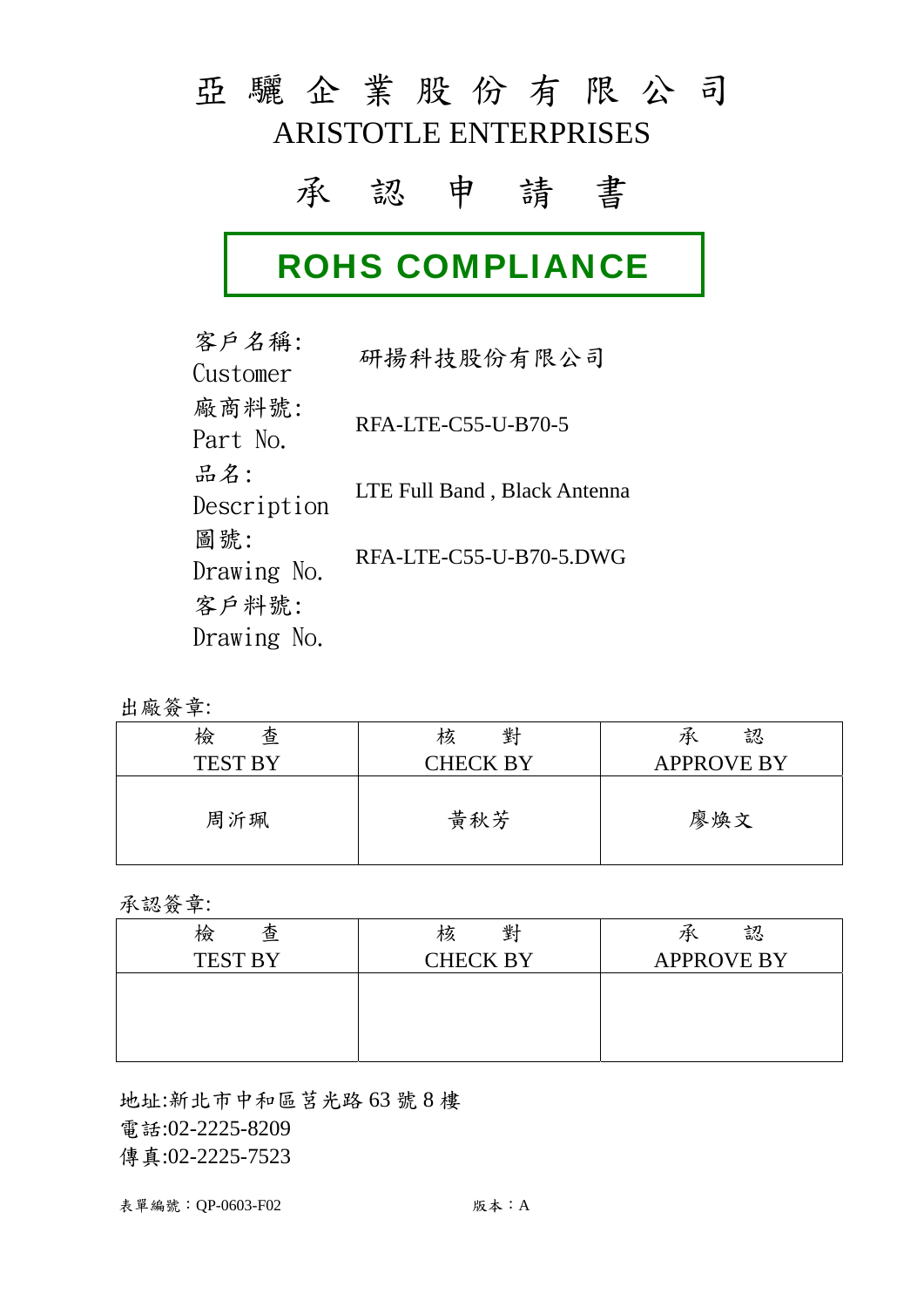## 亞 驪 企 業 股 份 有 限 公 司 ARISTOTLE ENTERPRISES

### 承 認 申 請 書

# ROHS COMPLIANCE

客戶名稱: Ger 和冊: 研揚科技股份有限公司 廠商料號: RFA-LTE-C55-U-B70-5<br>Part No. 品名: Description LTE Full Band, Black Antenna 圖號: Drawing No. RFA-LTE-C55-U-B70-5.DWG 客戶料號: Drawing No.

出廠簽章:

| 檢<br>查<br><b>TEST BY</b> | 對<br>核<br>CHECK BY | 認<br>乑<br><b>APPROVE BY</b> |
|--------------------------|--------------------|-----------------------------|
|                          |                    |                             |
| 周沂珮                      | 黄秋芳                | 廖煥文                         |

承認簽章:

| 查<br>檢         | 對<br>核          | 認<br>乑            |
|----------------|-----------------|-------------------|
| <b>TEST BY</b> | <b>CHECK BY</b> | <b>APPROVE BY</b> |
|                |                 |                   |
|                |                 |                   |
|                |                 |                   |
|                |                 |                   |

地址:新北市中和區莒光路 63 號 8 樓 電話:02-2225-8209 傳真:02-2225-7523

表單編號: QP-0603-F02 7 7 7 7 7 7 7 7 7 7 7 7 7 7 7 8 7 7 8 7 7 8 7 7 8 7 8 7 8 7 8 7 8 7 8 7 8 8 7 8 7 8 8 7 8 8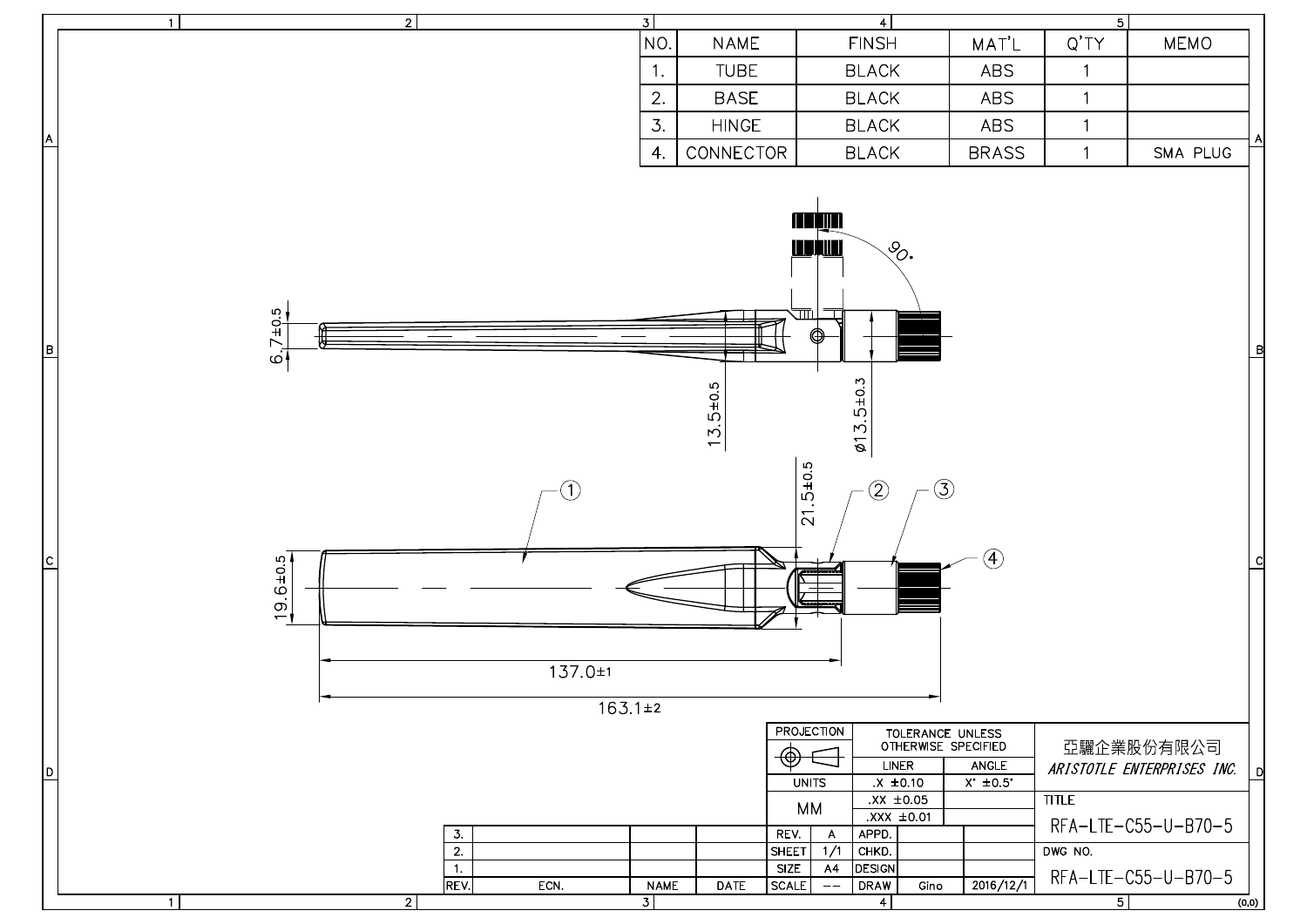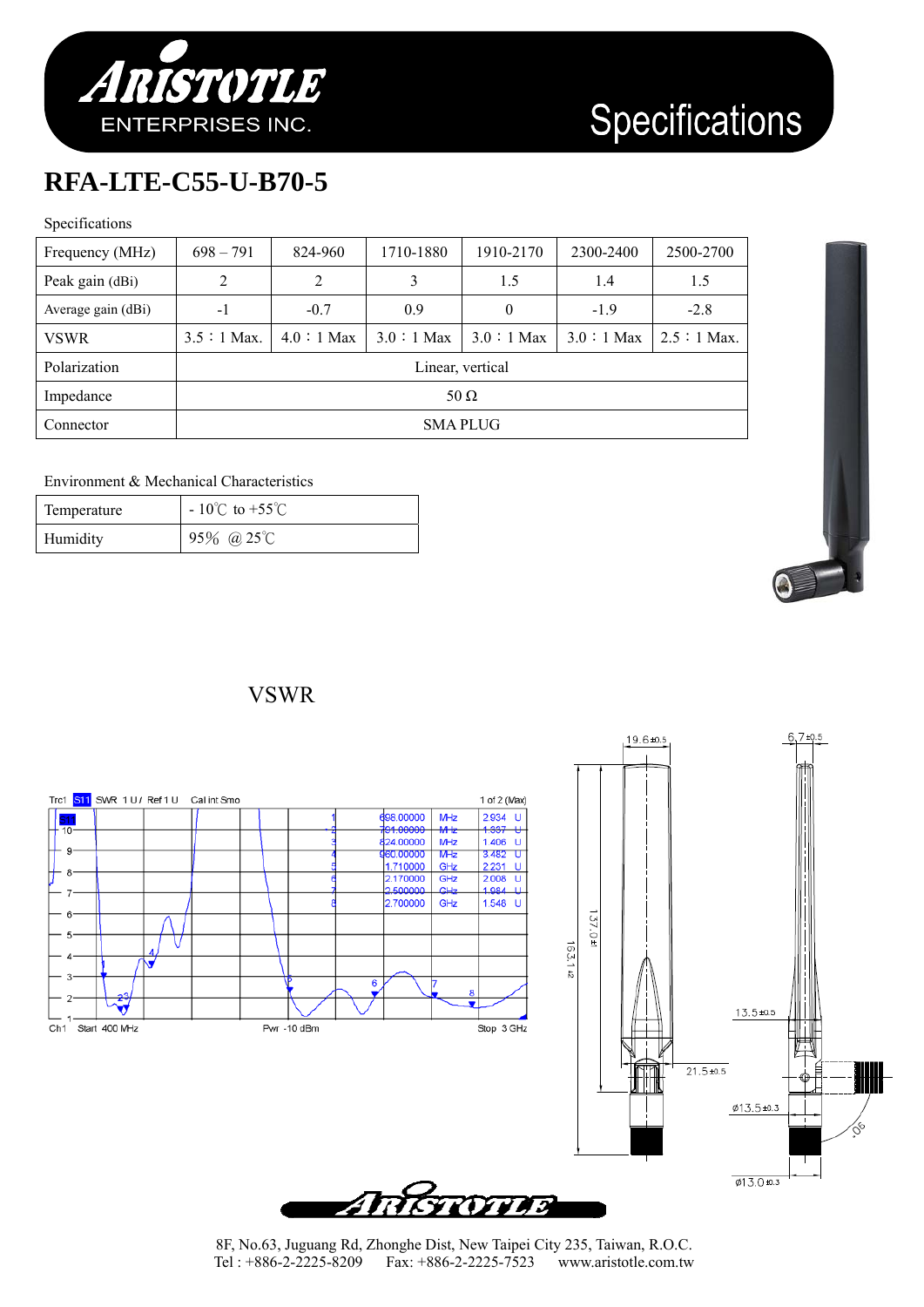

### **RFA-LTE-C55-U-B70-5**

#### Specifications

| Frequency (MHz)    | $698 - 791$      | 824-960     | 1710-1880   | 1910-2170     | 2300-2400   | 2500-2700    |
|--------------------|------------------|-------------|-------------|---------------|-------------|--------------|
| Peak gain (dBi)    | 2                | 2           | 3           | 1.5           | 1.4         | 1.5          |
| Average gain (dBi) | $-1$             | $-0.7$      | 0.9         | 0             | $-1.9$      | $-2.8$       |
| <b>VSWR</b>        | $3.5:1$ Max.     | $4.0:1$ Max | $3.0:1$ Max | $3.0 : 1$ Max | $3.0:1$ Max | $2.5:1$ Max. |
| Polarization       | Linear, vertical |             |             |               |             |              |
| Impedance          | 50 $\Omega$      |             |             |               |             |              |
| Connector          | <b>SMAPLUG</b>   |             |             |               |             |              |

#### Environment & Mechanical Characteristics

| Temperature | $-10^{\circ}$ C to +55 $^{\circ}$ C |
|-------------|-------------------------------------|
| Humidity    | 95% @ 25°C                          |



#### VSWR

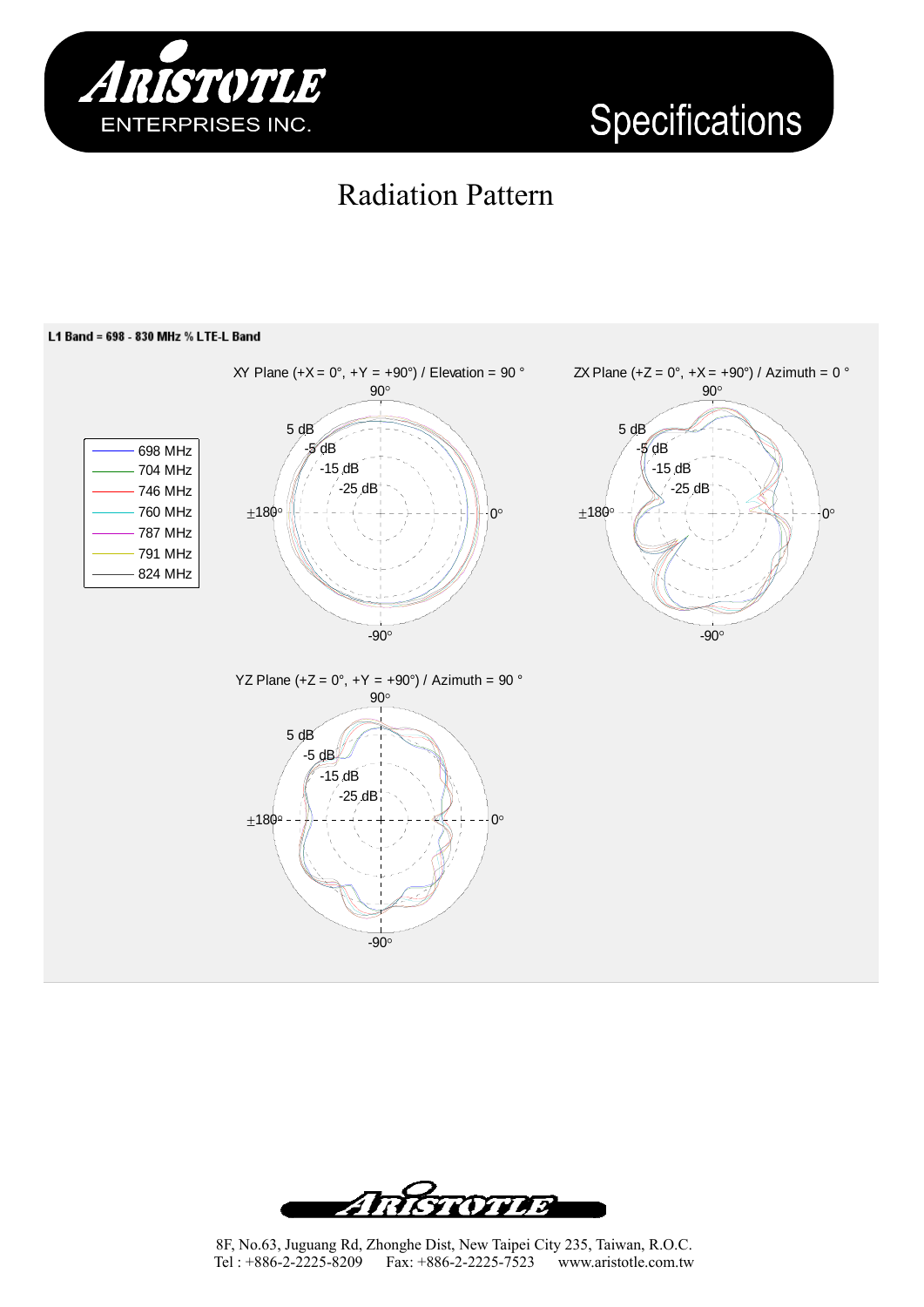



### Radiation Pattern



8F, No.63, Juguang Rd, Zhonghe Dist, New Taipei City 235, Taiwan, R.O.C. Tel : +886-2-2225-8209 Fax: +886-2-2225-7523 www.aristotle.com.tw

Antrovio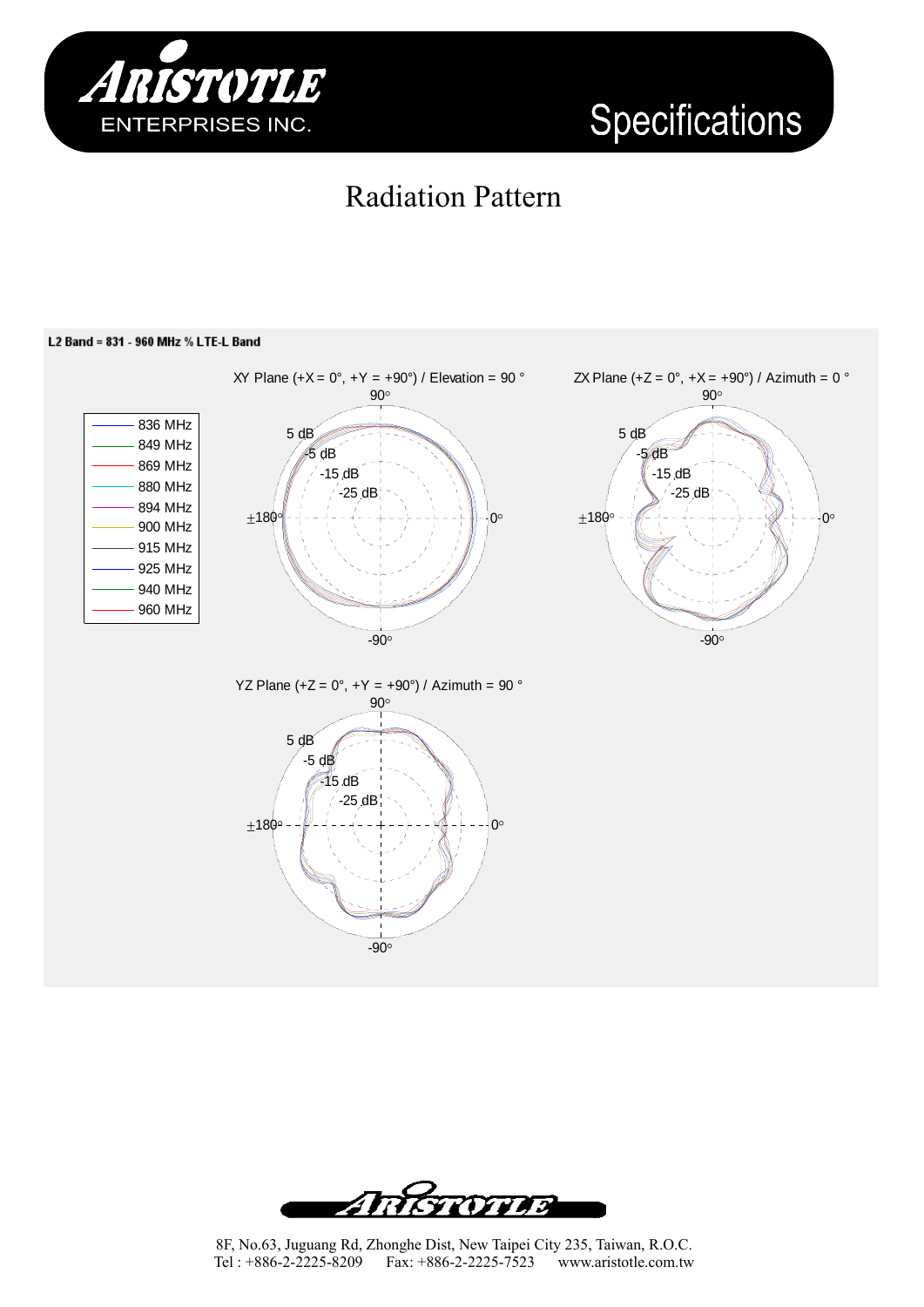

## Radiation Pattern



#### L2 Band = 831 - 960 MHz % LTE-L Band

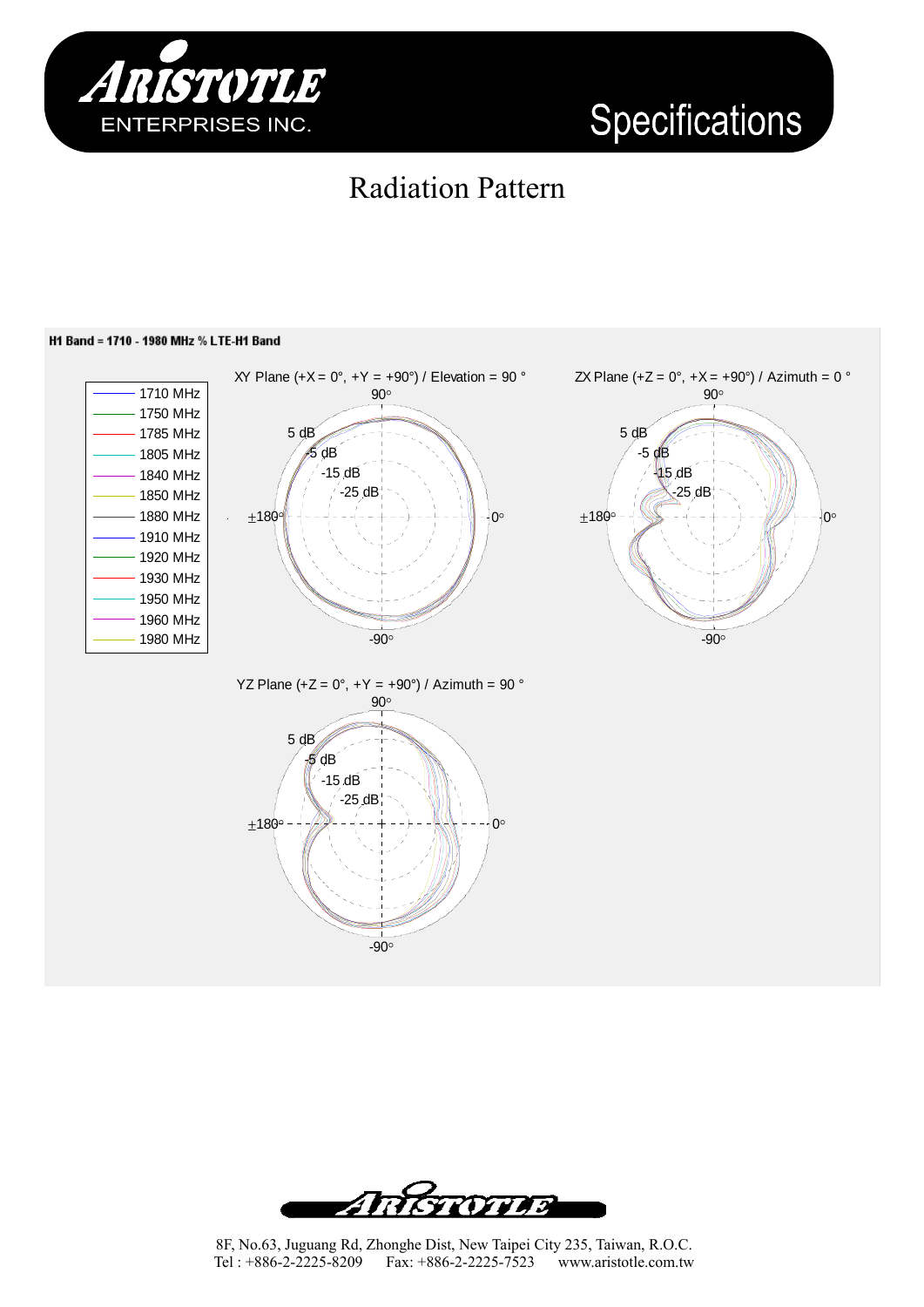

### Radiation Pattern

#### H1 Band = 1710 - 1980 MHz % LTE-H1 Band









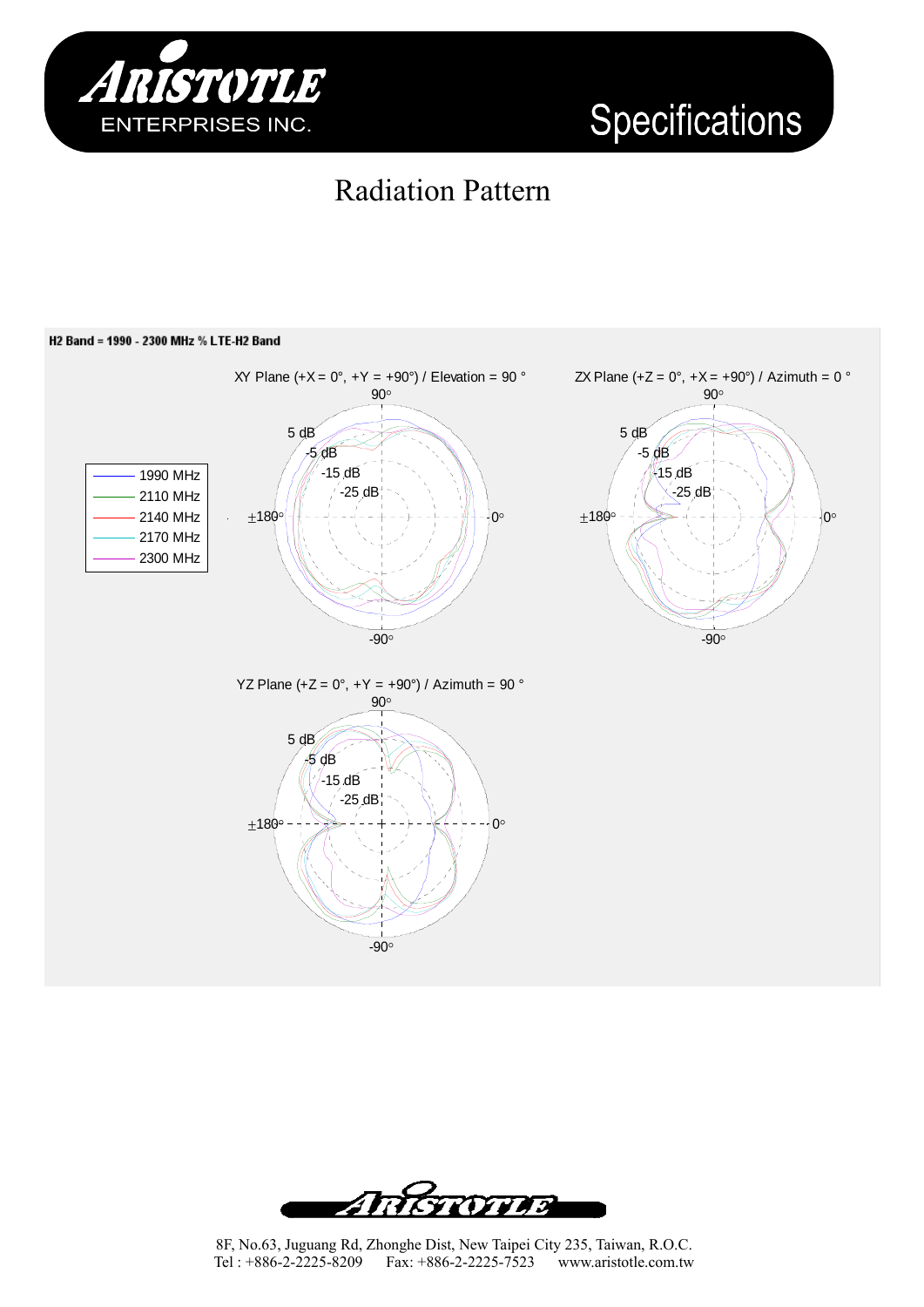

## Radiation Pattern

#### H2 Band = 1990 - 2300 MHz % LTE-H2 Band